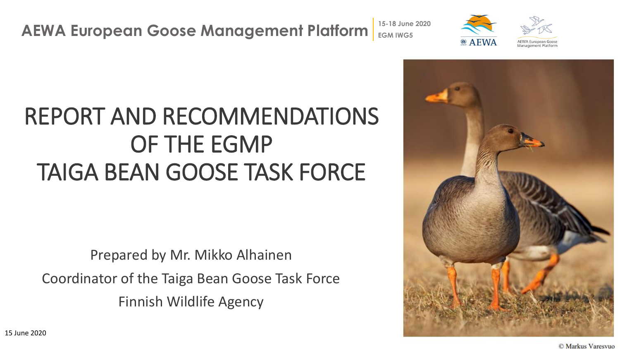#### REPORT AND RECOMMENDATIONS OF THE EGMP TAIGA BEAN GOOSE TASK FORCE

Prepared by Mr. Mikko Alhainen Coordinator of the Taiga Bean Goose Task Force Finnish Wildlife Agency



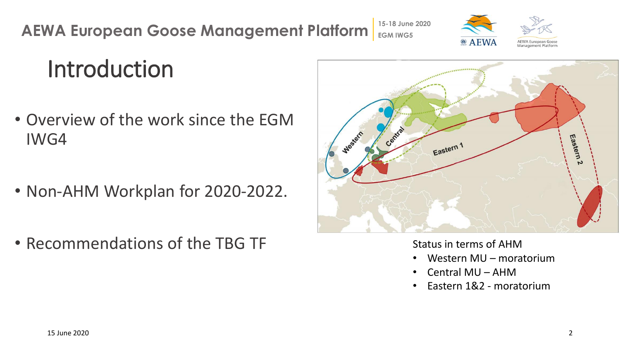#### Introduction

- Overview of the work since the EGM IWG4
- Non-AHM Workplan for 2020-2022.
- Recommendations of the TBG TF



Janagement Platt

Status in terms of AHM

- Western MU moratorium
- Central MU AHM
- Eastern 1&2 moratorium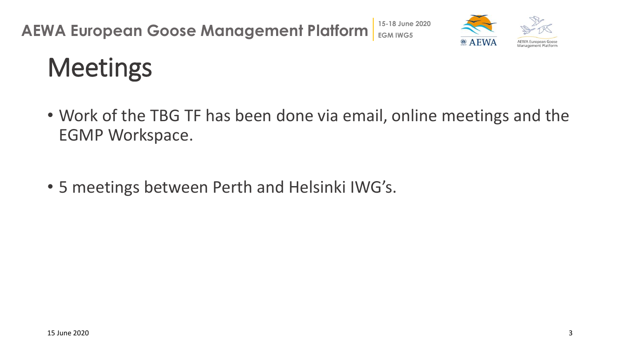

# **Meetings**

- Work of the TBG TF has been done via email, online meetings and the EGMP Workspace.
- 5 meetings between Perth and Helsinki IWG's.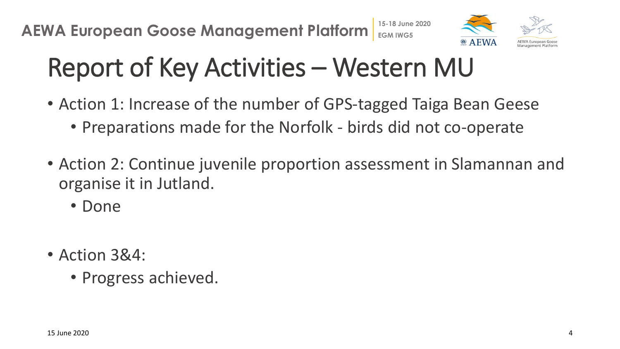

# Report of Key Activities – Western MU

- Action 1: Increase of the number of GPS-tagged Taiga Bean Geese • Preparations made for the Norfolk - birds did not co-operate
- Action 2: Continue juvenile proportion assessment in Slamannan and organise it in Jutland.
	- Done
- Action 3&4:
	- Progress achieved.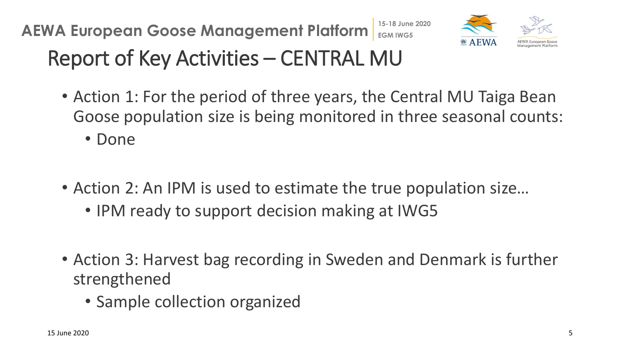

### Report of Key Activities – CENTRAL MU

- Action 1: For the period of three years, the Central MU Taiga Bean Goose population size is being monitored in three seasonal counts:
	- Done
- Action 2: An IPM is used to estimate the true population size…
	- IPM ready to support decision making at IWG5
- Action 3: Harvest bag recording in Sweden and Denmark is further strengthened
	- Sample collection organized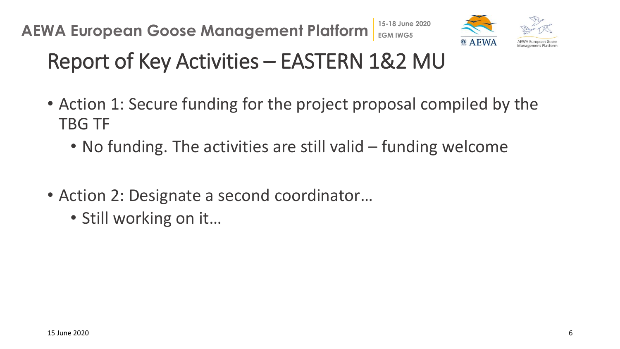

### Report of Key Activities – EASTERN 1&2 MU

- Action 1: Secure funding for the project proposal compiled by the TBG TF
	- No funding. The activities are still valid funding welcome
- Action 2: Designate a second coordinator...
	- Still working on it…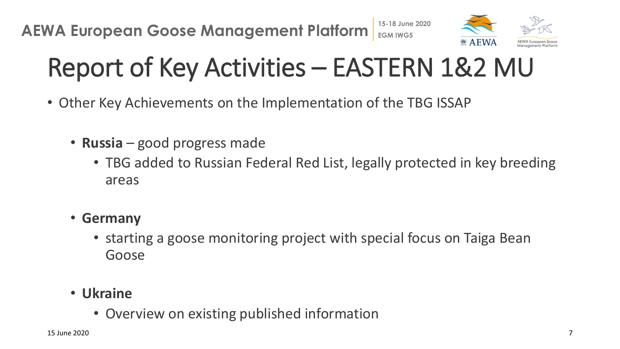

# Report of Key Activities – EASTERN 1&2 MU

- Other Key Achievements on the Implementation of the TBG ISSAP
	- **Russia** good progress made
		- TBG added to Russian Federal Red List, legally protected in key breeding areas
	- **Germany**
		- starting a goose monitoring project with special focus on Taiga Bean Goose
	- **Ukraine**
		- Overview on existing published information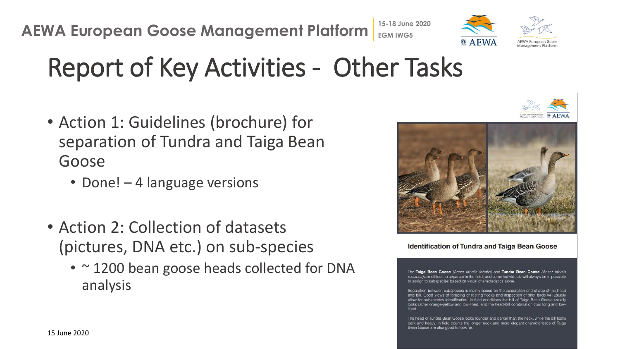## Report of Key Activities - Other Tasks

- Action 1: Guidelines (brochure) for separation of Tundra and Taiga Bean Goose
	- Done! 4 language versions
- Action 2: Collection of datasets (pictures, DNA etc.) on sub-species
	- ~1200 bean goose heads collected for DNA analysis



**Identification of Tundra and Taiga Bean Goose** 

The Taiga Bean Goose (Anser fabalis fabalis) and Tundra Bean Goose (Anser fabalis rossicus) are difficult to separate in the field, and some individuals will always be impossible to assign to subspecies based on visual characteristics alone.

Separation between subspecies is mainly based on the colouration and shape of the head and bill. Good views of foraging or resting flocks and inspection of shot birds will usually allow for subspecies identification. In field conditions the bill of Taiga Bean Goose usually looks rather orange-yellow and low-lined, and the head-bill combination thus long and lowlined

The head of Tundra Bean Goose looks rounder and darker than the neck, while the bill looks dark and heavy. In field counts the longer neck and more elegant characteristics of Taiga Bean Goose are also good to look for.



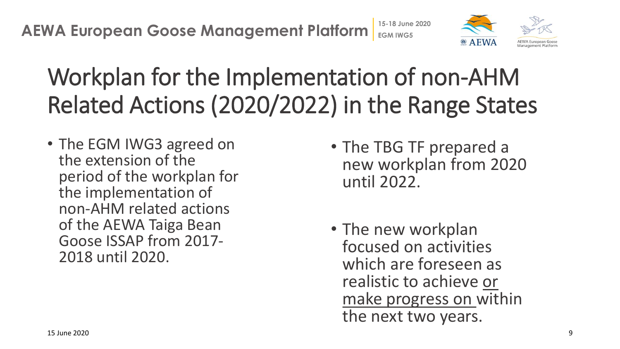

# Workplan for the Implementation of non-AHM Related Actions (2020/2022) in the Range States

• The EGM IWG3 agreed on the extension of the period of the workplan for the implementation of non-AHM related actions of the AEWA Taiga Bean Goose ISSAP from 2017- 2018 until 2020.

- The TBG TF prepared a new workplan from 2020 until 2022.
- The new workplan focused on activities which are foreseen as realistic to achieve or make progress on within the next two years.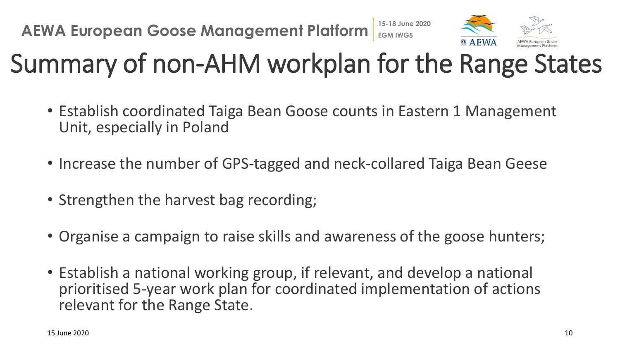

# Summary of non-AHM workplan for the Range States

- Establish coordinated Taiga Bean Goose counts in Eastern 1 Management Unit, especially in Poland
- Increase the number of GPS-tagged and neck-collared Taiga Bean Geese
- Strengthen the harvest bag recording;
- Organise a campaign to raise skills and awareness of the goose hunters;
- Establish a national working group, if relevant, and develop a national prioritised 5-year work plan for coordinated implementation of actions relevant for the Range State.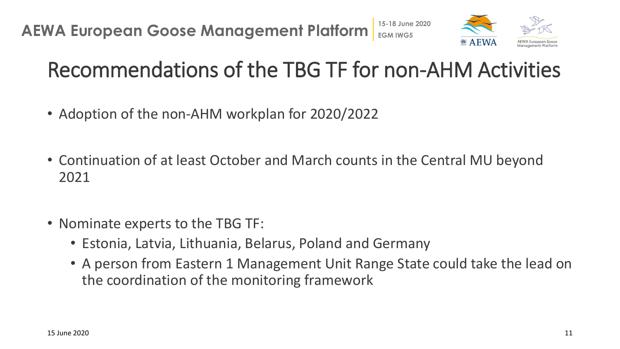

#### Recommendations of the TBG TF for non-AHM Activities

- Adoption of the non-AHM workplan for 2020/2022
- Continuation of at least October and March counts in the Central MU beyond 2021
- Nominate experts to the TBG TF:
	- Estonia, Latvia, Lithuania, Belarus, Poland and Germany
	- A person from Eastern 1 Management Unit Range State could take the lead on the coordination of the monitoring framework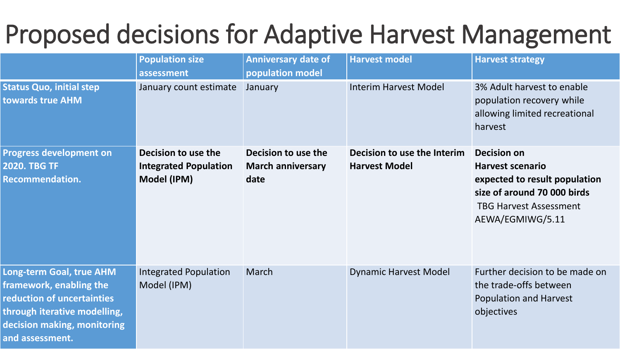#### **AEREAN COORDING STATE OF ADAPTIVE HARVE** Proposed decisions for Adaptive Harvest Management

|                                                                                                                                                                     | <b>Population size</b><br>assessment                               | <b>Anniversary date of</b><br>population model          | <b>Harvest model</b>                                | <b>Harvest strategy</b>                                                                                                                                            |
|---------------------------------------------------------------------------------------------------------------------------------------------------------------------|--------------------------------------------------------------------|---------------------------------------------------------|-----------------------------------------------------|--------------------------------------------------------------------------------------------------------------------------------------------------------------------|
| <b>Status Quo, initial step</b><br>towards true AHM                                                                                                                 | January count estimate                                             | January                                                 | <b>Interim Harvest Model</b>                        | 3% Adult harvest to enable<br>population recovery while<br>allowing limited recreational<br>harvest                                                                |
| <b>Progress development on</b><br><b>2020. TBG TF</b><br><b>Recommendation.</b>                                                                                     | Decision to use the<br><b>Integrated Population</b><br>Model (IPM) | Decision to use the<br><b>March anniversary</b><br>date | Decision to use the Interim<br><b>Harvest Model</b> | <b>Decision on</b><br><b>Harvest scenario</b><br>expected to result population<br>size of around 70 000 birds<br><b>TBG Harvest Assessment</b><br>AEWA/EGMIWG/5.11 |
| Long-term Goal, true AHM<br>framework, enabling the<br>reduction of uncertainties<br>through iterative modelling,<br>decision making, monitoring<br>and assessment. | <b>Integrated Population</b><br>Model (IPM)                        | March                                                   | <b>Dynamic Harvest Model</b>                        | Further decision to be made on<br>the trade-offs between<br><b>Population and Harvest</b><br>objectives                                                            |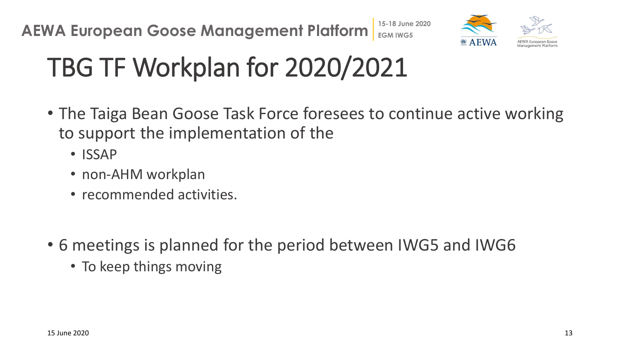

# TBG TF Workplan for 2020/2021

- The Taiga Bean Goose Task Force foresees to continue active working to support the implementation of the
	- ISSAP
	- non-AHM workplan
	- recommended activities.
- 6 meetings is planned for the period between IWG5 and IWG6
	- To keep things moving